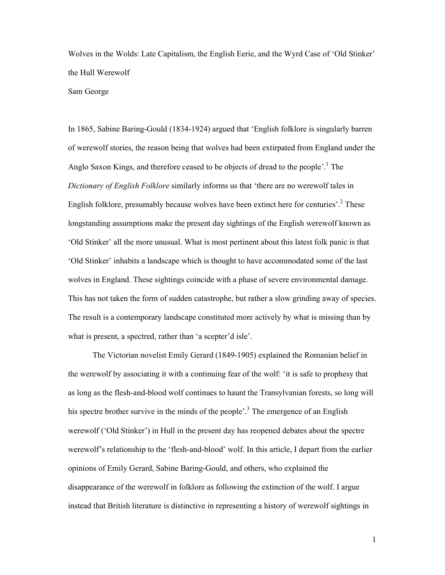Wolves in the Wolds: Late Capitalism, the English Eerie, and the Wyrd Case of 'Old Stinker' the Hull Werewolf

## Sam George

In 1865, Sabine Baring-Gould (1834-1924) argued that 'English folklore is singularly barren of werewolf stories, the reason being that wolves had been extirpated from England under the Anglo Saxon Kings, and therefore ceased to be objects of dread to the people'.<sup>1</sup> The *Dictionary of English Folklore* similarly informs us that 'there are no werewolf tales in English folklore, presumably because wolves have been extinct here for centuries'.<sup>2</sup> These longstanding assumptions make the present day sightings of the English werewolf known as 'Old Stinker' all the more unusual. What is most pertinent about this latest folk panic is that 'Old Stinker' inhabits a landscape which is thought to have accommodated some of the last wolves in England. These sightings coincide with a phase of severe environmental damage. This has not taken the form of sudden catastrophe, but rather a slow grinding away of species. The result is a contemporary landscape constituted more actively by what is missing than by what is present, a spectred, rather than 'a scepter'd isle'.

The Victorian novelist Emily Gerard (1849-1905) explained the Romanian belief in the werewolf by associating it with a continuing fear of the wolf: 'it is safe to prophesy that as long as the flesh-and-blood wolf continues to haunt the Transylvanian forests, so long will his spectre brother survive in the minds of the people'.<sup>3</sup> The emergence of an English werewolf ('Old Stinker') in Hull in the present day has reopened debates about the spectre werewolf's relationship to the 'flesh-and-blood' wolf. In this article, I depart from the earlier opinions of Emily Gerard, Sabine Baring-Gould, and others, who explained the disappearance of the werewolf in folklore as following the extinction of the wolf. I argue instead that British literature is distinctive in representing a history of werewolf sightings in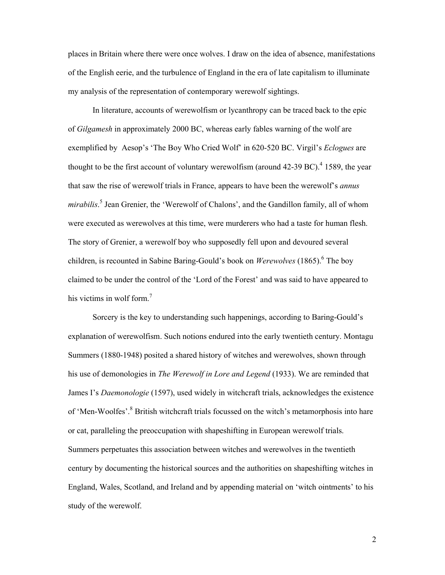places in Britain where there were once wolves. I draw on the idea of absence, manifestations of the English eerie, and the turbulence of England in the era of late capitalism to illuminate my analysis of the representation of contemporary werewolf sightings.

In literature, accounts of werewolfism or lycanthropy can be traced back to the epic of *Gilgamesh* in approximately 2000 BC, whereas early fables warning of the wolf are exemplified by Aesop's 'The Boy Who Cried Wolf' in 620-520 BC. Virgil's *Eclogues* are thought to be the first account of voluntary werewolfism (around  $42-39$  BC).<sup>4</sup> 1589, the year that saw the rise of werewolf trials in France, appears to have been the werewolf's *annus mirabilis*. 5 Jean Grenier, the 'Werewolf of Chalons', and the Gandillon family, all of whom were executed as werewolves at this time, were murderers who had a taste for human flesh. The story of Grenier, a werewolf boy who supposedly fell upon and devoured several children, is recounted in Sabine Baring-Gould's book on *Werewolves* (1865).<sup>6</sup> The boy claimed to be under the control of the 'Lord of the Forest' and was said to have appeared to his victims in wolf form. $<sup>7</sup>$ </sup>

Sorcery is the key to understanding such happenings, according to Baring-Gould's explanation of werewolfism. Such notions endured into the early twentieth century. Montagu Summers (1880-1948) posited a shared history of witches and werewolves, shown through his use of demonologies in *The Werewolf in Lore and Legend* (1933). We are reminded that James I's *Daemonologie* (1597), used widely in witchcraft trials, acknowledges the existence of 'Men-Woolfes'.<sup>8</sup> British witchcraft trials focussed on the witch's metamorphosis into hare or cat, paralleling the preoccupation with shapeshifting in European werewolf trials. Summers perpetuates this association between witches and werewolves in the twentieth century by documenting the historical sources and the authorities on shapeshifting witches in England, Wales, Scotland, and Ireland and by appending material on 'witch ointments' to his study of the werewolf.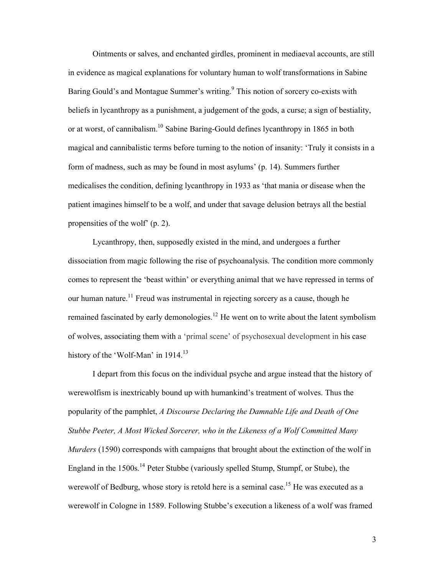Ointments or salves, and enchanted girdles, prominent in mediaeval accounts, are still in evidence as magical explanations for voluntary human to wolf transformations in Sabine Baring Gould's and Montague Summer's writing.<sup>9</sup> This notion of sorcery co-exists with beliefs in lycanthropy as a punishment, a judgement of the gods, a curse; a sign of bestiality, or at worst, of cannibalism.<sup>10</sup> Sabine Baring-Gould defines lycanthropy in 1865 in both magical and cannibalistic terms before turning to the notion of insanity: 'Truly it consists in a form of madness, such as may be found in most asylums' (p. 14). Summers further medicalises the condition, defining lycanthropy in 1933 as 'that mania or disease when the patient imagines himself to be a wolf, and under that savage delusion betrays all the bestial propensities of the wolf' (p. 2).

Lycanthropy, then, supposedly existed in the mind, and undergoes a further dissociation from magic following the rise of psychoanalysis. The condition more commonly comes to represent the 'beast within' or everything animal that we have repressed in terms of our human nature.<sup>11</sup> Freud was instrumental in rejecting sorcery as a cause, though he remained fascinated by early demonologies.<sup>12</sup> He went on to write about the latent symbolism of wolves, associating them with a 'primal scene' of psychosexual development in his case history of the 'Wolf-Man' in 1914.<sup>13</sup>

I depart from this focus on the individual psyche and argue instead that the history of werewolfism is inextricably bound up with humankind's treatment of wolves. Thus the popularity of the pamphlet, *A Discourse Declaring the Damnable Life and Death of One Stubbe Peeter, A Most Wicked Sorcerer, who in the Likeness of a Wolf Committed Many Murders* (1590) corresponds with campaigns that brought about the extinction of the wolf in England in the 1500s.<sup>14</sup> Peter Stubbe (variously spelled Stump, Stumpf, or Stube), the werewolf of Bedburg, whose story is retold here is a seminal case.<sup>15</sup> He was executed as a werewolf in Cologne in 1589. Following Stubbe's execution a likeness of a wolf was framed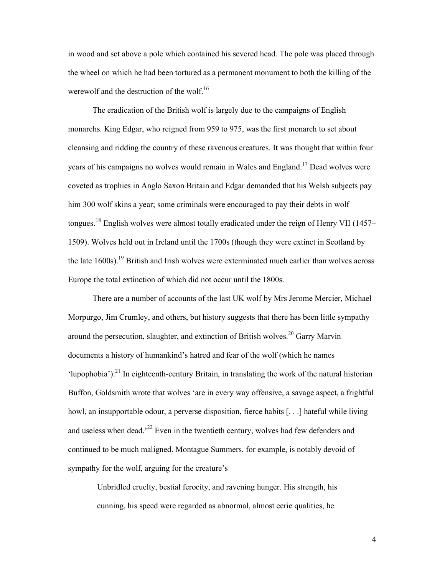in wood and set above a pole which contained his severed head. The pole was placed through the wheel on which he had been tortured as a permanent monument to both the killing of the werewolf and the destruction of the wolf.<sup>16</sup>

The eradication of the British wolf is largely due to the campaigns of English monarchs. King Edgar, who reigned from 959 to 975, was the first monarch to set about cleansing and ridding the country of these ravenous creatures. It was thought that within four years of his campaigns no wolves would remain in Wales and England.<sup>17</sup> Dead wolves were coveted as trophies in Anglo Saxon Britain and Edgar demanded that his Welsh subjects pay him 300 wolf skins a year; some criminals were encouraged to pay their debts in wolf tongues.<sup>18</sup> English wolves were almost totally eradicated under the reign of Henry VII (1457– 1509). Wolves held out in Ireland until the 1700s (though they were extinct in Scotland by the late  $1600s$ ).<sup>19</sup> British and Irish wolves were exterminated much earlier than wolves across Europe the total extinction of which did not occur until the 1800s.

There are a number of accounts of the last UK wolf by Mrs Jerome Mercier, Michael Morpurgo, Jim Crumley, and others, but history suggests that there has been little sympathy around the persecution, slaughter, and extinction of British wolves.<sup>20</sup> Garry Marvin documents a history of humankind's hatred and fear of the wolf (which he names 'lupophobia').<sup>21</sup> In eighteenth-century Britain, in translating the work of the natural historian Buffon, Goldsmith wrote that wolves 'are in every way offensive, a savage aspect, a frightful howl, an insupportable odour, a perverse disposition, fierce habits [...] hateful while living and useless when dead.<sup> $22$ </sup> Even in the twentieth century, wolves had few defenders and continued to be much maligned. Montague Summers, for example, is notably devoid of sympathy for the wolf, arguing for the creature's

Unbridled cruelty, bestial ferocity, and ravening hunger. His strength, his cunning, his speed were regarded as abnormal, almost eerie qualities, he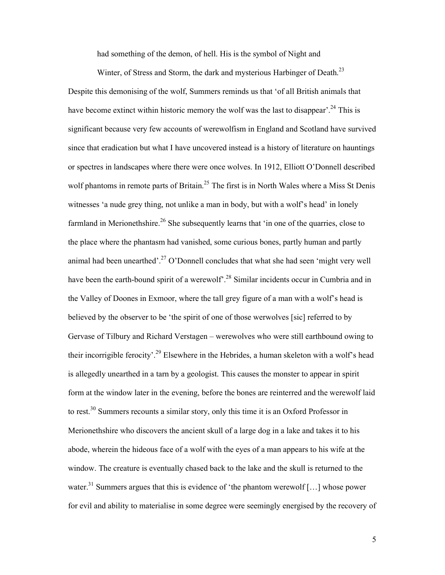had something of the demon, of hell. His is the symbol of Night and

Winter, of Stress and Storm, the dark and mysterious Harbinger of Death.<sup>23</sup>

Despite this demonising of the wolf, Summers reminds us that 'of all British animals that have become extinct within historic memory the wolf was the last to disappear'.<sup>24</sup> This is significant because very few accounts of werewolfism in England and Scotland have survived since that eradication but what I have uncovered instead is a history of literature on hauntings or spectres in landscapes where there were once wolves. In 1912, Elliott O'Donnell described wolf phantoms in remote parts of Britain.<sup>25</sup> The first is in North Wales where a Miss St Denis witnesses 'a nude grey thing, not unlike a man in body, but with a wolf's head' in lonely farmland in Merionethshire.<sup>26</sup> She subsequently learns that 'in one of the quarries, close to the place where the phantasm had vanished, some curious bones, partly human and partly animal had been unearthed'.<sup>27</sup> O'Donnell concludes that what she had seen 'might very well have been the earth-bound spirit of a werewolf<sup>28</sup> Similar incidents occur in Cumbria and in the Valley of Doones in Exmoor, where the tall grey figure of a man with a wolf's head is believed by the observer to be 'the spirit of one of those werwolves [sic] referred to by Gervase of Tilbury and Richard Verstagen – werewolves who were still earthbound owing to their incorrigible ferocity'.<sup>29</sup> Elsewhere in the Hebrides, a human skeleton with a wolf's head is allegedly unearthed in a tarn by a geologist. This causes the monster to appear in spirit form at the window later in the evening, before the bones are reinterred and the werewolf laid to rest.<sup>30</sup> Summers recounts a similar story, only this time it is an Oxford Professor in Merionethshire who discovers the ancient skull of a large dog in a lake and takes it to his abode, wherein the hideous face of a wolf with the eyes of a man appears to his wife at the window. The creature is eventually chased back to the lake and the skull is returned to the water.<sup>31</sup> Summers argues that this is evidence of 'the phantom werewolf [...] whose power for evil and ability to materialise in some degree were seemingly energised by the recovery of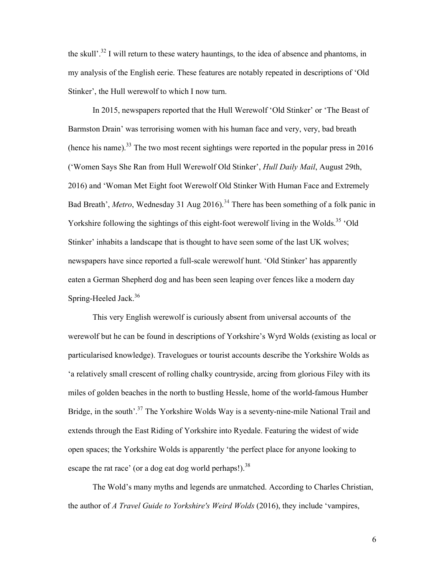the skull'.<sup>32</sup> I will return to these watery hauntings, to the idea of absence and phantoms, in my analysis of the English eerie. These features are notably repeated in descriptions of 'Old Stinker', the Hull werewolf to which I now turn.

In 2015, newspapers reported that the Hull Werewolf 'Old Stinker' or 'The Beast of Barmston Drain' was terrorising women with his human face and very, very, bad breath (hence his name).<sup>33</sup> The two most recent sightings were reported in the popular press in 2016 ('Women Says She Ran from Hull Werewolf Old Stinker', *Hull Daily Mail*, August 29th, 2016) and 'Woman Met Eight foot Werewolf Old Stinker With Human Face and Extremely Bad Breath', *Metro*, Wednesday 31 Aug 2016).<sup>34</sup> There has been something of a folk panic in Yorkshire following the sightings of this eight-foot werewolf living in the Wolds.<sup>35</sup> 'Old Stinker' inhabits a landscape that is thought to have seen some of the last UK wolves; newspapers have since reported a full-scale werewolf hunt. 'Old Stinker' has apparently eaten a German Shepherd dog and has been seen leaping over fences like a modern day Spring-Heeled Jack.<sup>36</sup>

This very English werewolf is curiously absent from universal accounts of the werewolf but he can be found in descriptions of Yorkshire's Wyrd Wolds (existing as local or particularised knowledge). Travelogues or tourist accounts describe the Yorkshire Wolds as 'a relatively small crescent of rolling chalky countryside, arcing from glorious Filey with its miles of golden beaches in the north to bustling Hessle, home of the world-famous Humber Bridge, in the south'.<sup>37</sup> The Yorkshire Wolds Way is a seventy-nine-mile National Trail and extends through the East Riding of Yorkshire into Ryedale. Featuring the widest of wide open spaces; the Yorkshire Wolds is apparently 'the perfect place for anyone looking to escape the rat race' (or a dog eat dog world perhaps!).<sup>38</sup>

The Wold's many myths and legends are unmatched. According to Charles Christian, the author of *A Travel Guide to Yorkshire's Weird Wolds* (2016), they include 'vampires,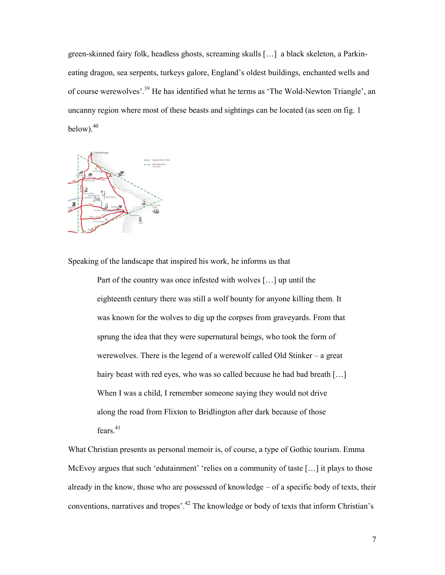green-skinned fairy folk, headless ghosts, screaming skulls […] a black skeleton, a Parkineating dragon, sea serpents, turkeys galore, England's oldest buildings, enchanted wells and of course werewolves'.39 He has identified what he terms as 'The Wold-Newton Triangle', an uncanny region where most of these beasts and sightings can be located (as seen on fig. 1 below).<sup>40</sup>



Speaking of the landscape that inspired his work, he informs us that

Part of the country was once infested with wolves […] up until the eighteenth century there was still a wolf bounty for anyone killing them. It was known for the wolves to dig up the corpses from graveyards. From that sprung the idea that they were supernatural beings, who took the form of werewolves. There is the legend of a werewolf called Old Stinker – a great hairy beast with red eyes, who was so called because he had bad breath [...] When I was a child, I remember someone saying they would not drive along the road from Flixton to Bridlington after dark because of those fears.<sup>41</sup>

What Christian presents as personal memoir is, of course, a type of Gothic tourism. Emma McEvoy argues that such 'edutainment' 'relies on a community of taste [...] it plays to those already in the know, those who are possessed of knowledge – of a specific body of texts, their conventions, narratives and tropes'.<sup>42</sup> The knowledge or body of texts that inform Christian's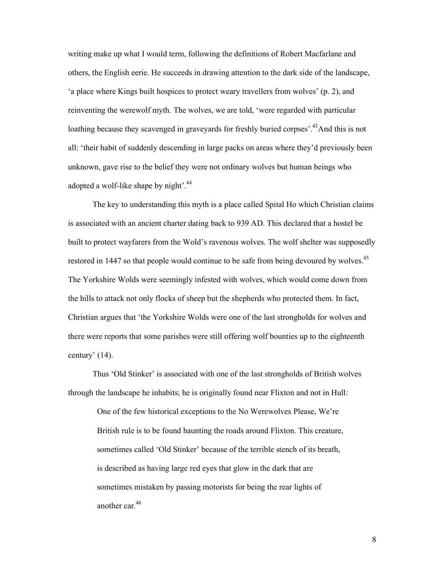writing make up what I would term, following the definitions of Robert Macfarlane and others, the English eerie. He succeeds in drawing attention to the dark side of the landscape, 'a place where Kings built hospices to protect weary travellers from wolves' (p. 2), and reinventing the werewolf myth. The wolves, we are told, 'were regarded with particular loathing because they scavenged in graveyards for freshly buried corpses<sup>2</sup>.<sup>43</sup>And this is not all: 'their habit of suddenly descending in large packs on areas where they'd previously been unknown, gave rise to the belief they were not ordinary wolves but human beings who adopted a wolf-like shape by night<sup>'.44</sup>

The key to understanding this myth is a place called Spital Ho which Christian claims is associated with an ancient charter dating back to 939 AD. This declared that a hostel be built to protect wayfarers from the Wold's ravenous wolves. The wolf shelter was supposedly restored in 1447 so that people would continue to be safe from being devoured by wolves.<sup>45</sup> The Yorkshire Wolds were seemingly infested with wolves, which would come down from the hills to attack not only flocks of sheep but the shepherds who protected them. In fact, Christian argues that 'the Yorkshire Wolds were one of the last strongholds for wolves and there were reports that some parishes were still offering wolf bounties up to the eighteenth century' (14).

Thus 'Old Stinker' is associated with one of the last strongholds of British wolves through the landscape he inhabits; he is originally found near Flixton and not in Hull:

One of the few historical exceptions to the No Werewolves Please, We're British rule is to be found haunting the roads around Flixton. This creature, sometimes called 'Old Stinker' because of the terrible stench of its breath, is described as having large red eyes that glow in the dark that are sometimes mistaken by passing motorists for being the rear lights of another car*.* 46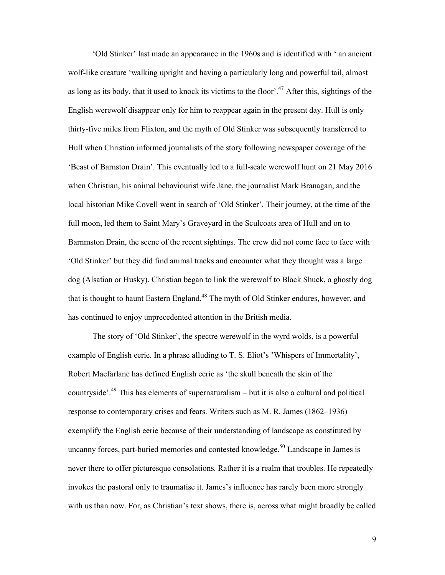'Old Stinker' last made an appearance in the 1960s and is identified with ' an ancient wolf-like creature 'walking upright and having a particularly long and powerful tail, almost as long as its body, that it used to knock its victims to the floor'.<sup>47</sup> After this, sightings of the English werewolf disappear only for him to reappear again in the present day. Hull is only thirty-five miles from Flixton, and the myth of Old Stinker was subsequently transferred to Hull when Christian informed journalists of the story following newspaper coverage of the 'Beast of Barnston Drain'. This eventually led to a full-scale werewolf hunt on 21 May 2016 when Christian, his animal behaviourist wife Jane, the journalist Mark Branagan, and the local historian Mike Covell went in search of 'Old Stinker'. Their journey, at the time of the full moon, led them to Saint Mary's Graveyard in the Sculcoats area of Hull and on to Barnmston Drain, the scene of the recent sightings. The crew did not come face to face with 'Old Stinker' but they did find animal tracks and encounter what they thought was a large dog (Alsatian or Husky). Christian began to link the werewolf to Black Shuck, a ghostly dog that is thought to haunt Eastern England.<sup>48</sup> The myth of Old Stinker endures, however, and has continued to enjoy unprecedented attention in the British media.

The story of 'Old Stinker', the spectre werewolf in the wyrd wolds, is a powerful example of English eerie. In a phrase alluding to T. S. Eliot's 'Whispers of Immortality', Robert Macfarlane has defined English eerie as 'the skull beneath the skin of the countryside<sup> $3.49$ </sup>. This has elements of supernaturalism – but it is also a cultural and political response to contemporary crises and fears. Writers such as M. R. James (1862–1936) exemplify the English eerie because of their understanding of landscape as constituted by uncanny forces, part-buried memories and contested knowledge.<sup>50</sup> Landscape in James is never there to offer picturesque consolations. Rather it is a realm that troubles. He repeatedly invokes the pastoral only to traumatise it. James's influence has rarely been more strongly with us than now. For, as Christian's text shows, there is, across what might broadly be called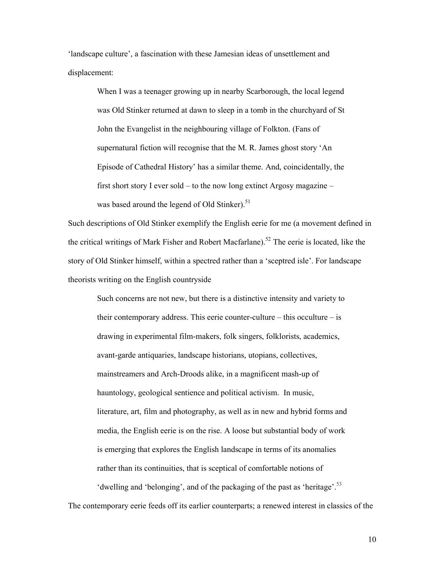'landscape culture', a fascination with these Jamesian ideas of unsettlement and displacement:

> When I was a teenager growing up in nearby Scarborough, the local legend was Old Stinker returned at dawn to sleep in a tomb in the churchyard of St John the Evangelist in the neighbouring village of Folkton. (Fans of supernatural fiction will recognise that the M. R. James ghost story 'An Episode of Cathedral History' has a similar theme. And, coincidentally, the first short story I ever sold – to the now long extinct Argosy magazine – was based around the legend of Old Stinker).<sup>51</sup>

Such descriptions of Old Stinker exemplify the English eerie for me (a movement defined in the critical writings of Mark Fisher and Robert Macfarlane).<sup>52</sup> The eerie is located, like the story of Old Stinker himself, within a spectred rather than a 'sceptred isle'. For landscape theorists writing on the English countryside

Such concerns are not new, but there is a distinctive intensity and variety to their contemporary address. This eerie counter-culture – this occulture – is drawing in experimental film-makers, folk singers, folklorists, academics, avant-garde antiquaries, landscape historians, utopians, collectives, mainstreamers and Arch-Droods alike, in a magnificent mash-up of hauntology, geological sentience and political activism. In music, literature, art, film and photography, as well as in new and hybrid forms and media, the English eerie is on the rise. A loose but substantial body of work is emerging that explores the English landscape in terms of its anomalies rather than its continuities, that is sceptical of comfortable notions of 'dwelling and 'belonging', and of the packaging of the past as 'heritage'.<sup>53</sup>

The contemporary eerie feeds off its earlier counterparts; a renewed interest in classics of the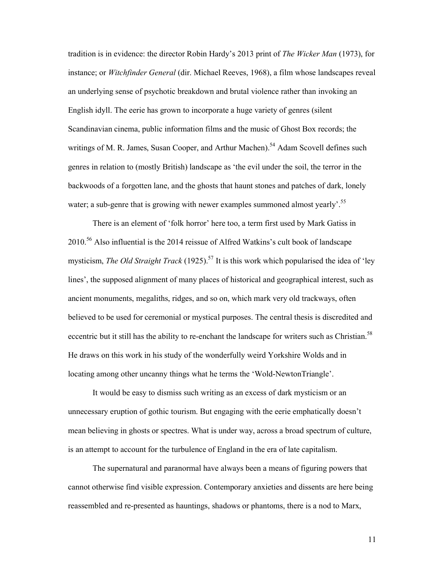tradition is in evidence: the director Robin Hardy's 2013 print of *The Wicker Man* (1973), for instance; or *Witchfinder General* (dir. Michael Reeves, 1968), a film whose landscapes reveal an underlying sense of psychotic breakdown and brutal violence rather than invoking an English idyll. The eerie has grown to incorporate a huge variety of genres (silent Scandinavian cinema, public information films and the music of Ghost Box records; the writings of M. R. James, Susan Cooper, and Arthur Machen).<sup>54</sup> Adam Scovell defines such genres in relation to (mostly British) landscape as 'the evil under the soil, the terror in the backwoods of a forgotten lane, and the ghosts that haunt stones and patches of dark, lonely water; a sub-genre that is growing with newer examples summoned almost yearly<sup>'.55</sup>

There is an element of 'folk horror' here too, a term first used by Mark Gatiss in  $2010<sup>56</sup>$  Also influential is the 2014 reissue of Alfred Watkins's cult book of landscape mysticism, *The Old Straight Track* (1925).<sup>57</sup> It is this work which popularised the idea of 'ley lines', the supposed alignment of many places of historical and geographical interest, such as ancient monuments, megaliths, ridges, and so on, which mark very old trackways, often believed to be used for ceremonial or mystical purposes. The central thesis is discredited and eccentric but it still has the ability to re-enchant the landscape for writers such as Christian.<sup>58</sup> He draws on this work in his study of the wonderfully weird Yorkshire Wolds and in locating among other uncanny things what he terms the 'Wold-NewtonTriangle'.

It would be easy to dismiss such writing as an excess of dark mysticism or an unnecessary eruption of gothic tourism. But engaging with the eerie emphatically doesn't mean believing in ghosts or spectres. What is under way, across a broad spectrum of culture, is an attempt to account for the turbulence of England in the era of late capitalism.

The supernatural and paranormal have always been a means of figuring powers that cannot otherwise find visible expression. Contemporary anxieties and dissents are here being reassembled and re-presented as hauntings, shadows or phantoms, there is a nod to Marx,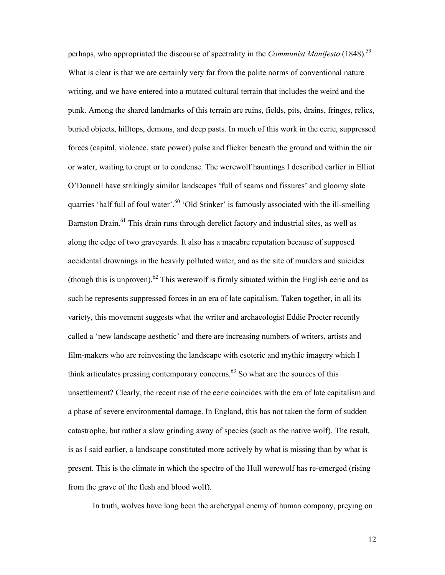perhaps, who appropriated the discourse of spectrality in the *Communist Manifesto* (1848).<sup>59</sup> What is clear is that we are certainly very far from the polite norms of conventional nature writing, and we have entered into a mutated cultural terrain that includes the weird and the punk. Among the shared landmarks of this terrain are ruins, fields, pits, drains, fringes, relics, buried objects, hilltops, demons, and deep pasts. In much of this work in the eerie, suppressed forces (capital, violence, state power) pulse and flicker beneath the ground and within the air or water, waiting to erupt or to condense. The werewolf hauntings I described earlier in Elliot O'Donnell have strikingly similar landscapes 'full of seams and fissures' and gloomy slate quarries 'half full of foul water'.<sup>60</sup> 'Old Stinker' is famously associated with the ill-smelling Barnston Drain.<sup>61</sup> This drain runs through derelict factory and industrial sites, as well as along the edge of two graveyards. It also has a macabre reputation because of supposed accidental drownings in the heavily polluted water, and as the site of murders and suicides (though this is unproven).<sup>62</sup> This werewolf is firmly situated within the English eerie and as such he represents suppressed forces in an era of late capitalism. Taken together, in all its variety, this movement suggests what the writer and archaeologist Eddie Procter recently called a 'new landscape aesthetic' and there are increasing numbers of writers, artists and film-makers who are reinvesting the landscape with esoteric and mythic imagery which I think articulates pressing contemporary concerns. $63$  So what are the sources of this unsettlement? Clearly, the recent rise of the eerie coincides with the era of late capitalism and a phase of severe environmental damage. In England, this has not taken the form of sudden catastrophe, but rather a slow grinding away of species (such as the native wolf). The result, is as I said earlier, a landscape constituted more actively by what is missing than by what is present. This is the climate in which the spectre of the Hull werewolf has re-emerged (rising from the grave of the flesh and blood wolf).

In truth, wolves have long been the archetypal enemy of human company, preying on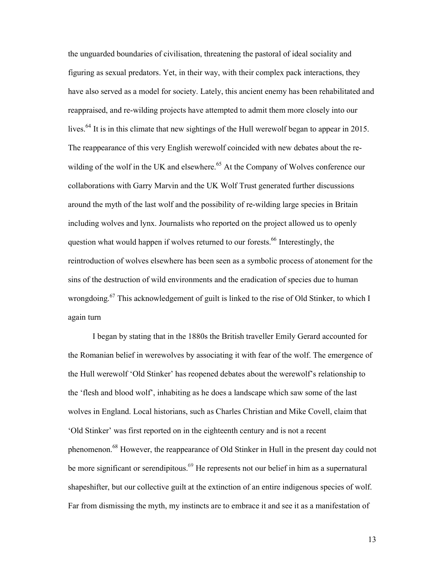the unguarded boundaries of civilisation, threatening the pastoral of ideal sociality and figuring as sexual predators. Yet, in their way, with their complex pack interactions, they have also served as a model for society. Lately, this ancient enemy has been rehabilitated and reappraised, and re-wilding projects have attempted to admit them more closely into our lives.<sup>64</sup> It is in this climate that new sightings of the Hull werewolf began to appear in 2015. The reappearance of this very English werewolf coincided with new debates about the rewilding of the wolf in the UK and elsewhere.<sup>65</sup> At the Company of Wolves conference our collaborations with Garry Marvin and the UK Wolf Trust generated further discussions around the myth of the last wolf and the possibility of re-wilding large species in Britain including wolves and lynx. Journalists who reported on the project allowed us to openly question what would happen if wolves returned to our forests.<sup>66</sup> Interestingly, the reintroduction of wolves elsewhere has been seen as a symbolic process of atonement for the sins of the destruction of wild environments and the eradication of species due to human wrongdoing.<sup>67</sup> This acknowledgement of guilt is linked to the rise of Old Stinker, to which I again turn

I began by stating that in the 1880s the British traveller Emily Gerard accounted for the Romanian belief in werewolves by associating it with fear of the wolf. The emergence of the Hull werewolf 'Old Stinker' has reopened debates about the werewolf's relationship to the 'flesh and blood wolf', inhabiting as he does a landscape which saw some of the last wolves in England. Local historians, such as Charles Christian and Mike Covell, claim that 'Old Stinker' was first reported on in the eighteenth century and is not a recent phenomenon.<sup>68</sup> However, the reappearance of Old Stinker in Hull in the present day could not be more significant or serendipitous.<sup>69</sup> He represents not our belief in him as a supernatural shapeshifter, but our collective guilt at the extinction of an entire indigenous species of wolf. Far from dismissing the myth, my instincts are to embrace it and see it as a manifestation of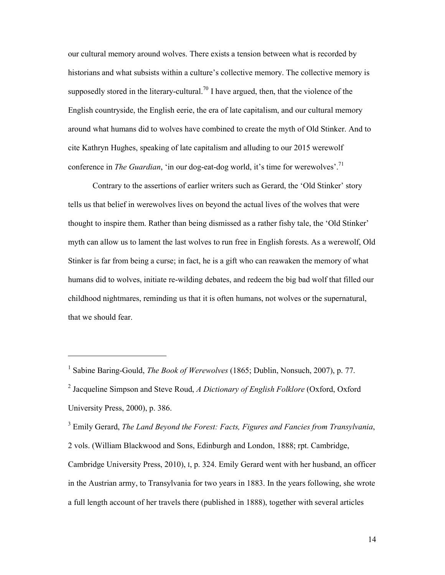our cultural memory around wolves. There exists a tension between what is recorded by historians and what subsists within a culture's collective memory. The collective memory is supposedly stored in the literary-cultural.<sup>70</sup> I have argued, then, that the violence of the English countryside, the English eerie, the era of late capitalism, and our cultural memory around what humans did to wolves have combined to create the myth of Old Stinker. And to cite Kathryn Hughes, speaking of late capitalism and alluding to our 2015 werewolf conference in *The Guardian*, 'in our dog-eat-dog world, it's time for werewolves'.<sup>71</sup>

Contrary to the assertions of earlier writers such as Gerard, the 'Old Stinker' story tells us that belief in werewolves lives on beyond the actual lives of the wolves that were thought to inspire them. Rather than being dismissed as a rather fishy tale, the 'Old Stinker' myth can allow us to lament the last wolves to run free in English forests. As a werewolf, Old Stinker is far from being a curse; in fact, he is a gift who can reawaken the memory of what humans did to wolves, initiate re-wilding debates, and redeem the big bad wolf that filled our childhood nightmares, reminding us that it is often humans, not wolves or the supernatural, that we should fear.

 $\overline{a}$ 

3 Emily Gerard, *The Land Beyond the Forest: Facts, Figures and Fancies from Transylvania*, 2 vols. (William Blackwood and Sons, Edinburgh and London, 1888; rpt. Cambridge, Cambridge University Press, 2010), I, p. 324. Emily Gerard went with her husband, an officer in the Austrian army, to Transylvania for two years in 1883. In the years following, she wrote a full length account of her travels there (published in 1888), together with several articles

<sup>&</sup>lt;sup>1</sup> Sabine Baring-Gould, *The Book of Werewolves* (1865; Dublin, Nonsuch, 2007), p. 77.

<sup>2</sup> Jacqueline Simpson and Steve Roud, *A Dictionary of English Folklore* (Oxford, Oxford University Press, 2000), p. 386.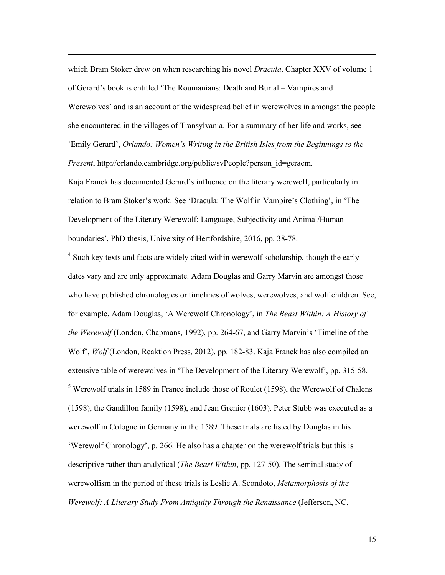which Bram Stoker drew on when researching his novel *Dracula*. Chapter XXV of volume 1 of Gerard's book is entitled 'The Roumanians: Death and Burial – Vampires and Werewolves' and is an account of the widespread belief in werewolves in amongst the people she encountered in the villages of Transylvania. For a summary of her life and works, see 'Emily Gerard', *Orlando: Women's Writing in the British Isles from the Beginnings to the Present*, http://orlando.cambridge.org/public/svPeople?person\_id=geraem.

 $\overline{a}$ 

Kaja Franck has documented Gerard's influence on the literary werewolf, particularly in relation to Bram Stoker's work. See 'Dracula: The Wolf in Vampire's Clothing', in 'The Development of the Literary Werewolf: Language, Subjectivity and Animal/Human boundaries', PhD thesis, University of Hertfordshire, 2016, pp. 38-78.

<sup>4</sup> Such key texts and facts are widely cited within werewolf scholarship, though the early dates vary and are only approximate. Adam Douglas and Garry Marvin are amongst those who have published chronologies or timelines of wolves, werewolves, and wolf children. See, for example, Adam Douglas, 'A Werewolf Chronology', in *The Beast Within: A History of the Werewolf* (London, Chapmans, 1992), pp. 264-67, and Garry Marvin's 'Timeline of the Wolf', *Wolf* (London, Reaktion Press, 2012), pp. 182-83. Kaja Franck has also compiled an extensive table of werewolves in 'The Development of the Literary Werewolf', pp. 315-58. <sup>5</sup> Werewolf trials in 1589 in France include those of Roulet (1598), the Werewolf of Chalens (1598), the Gandillon family (1598), and Jean Grenier (1603). Peter Stubb was executed as a werewolf in Cologne in Germany in the 1589. These trials are listed by Douglas in his 'Werewolf Chronology', p. 266. He also has a chapter on the werewolf trials but this is descriptive rather than analytical (*The Beast Within*, pp. 127-50). The seminal study of werewolfism in the period of these trials is Leslie A. Scondoto, *Metamorphosis of the Werewolf: A Literary Study From Antiquity Through the Renaissance* (Jefferson, NC,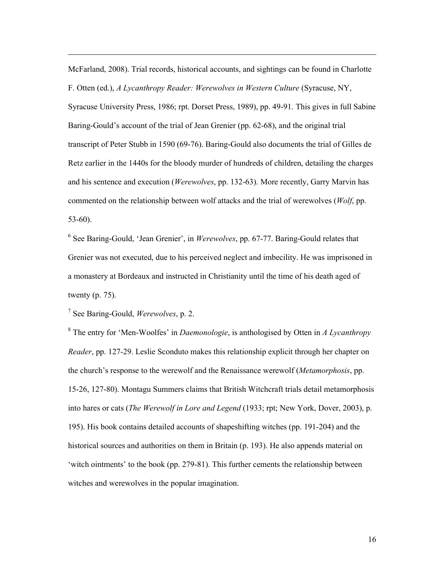McFarland, 2008). Trial records, historical accounts, and sightings can be found in Charlotte F. Otten (ed.), *A Lycanthropy Reader: Werewolves in Western Culture* (Syracuse, NY, Syracuse University Press, 1986; rpt. Dorset Press, 1989), pp. 49-91. This gives in full Sabine Baring-Gould's account of the trial of Jean Grenier (pp. 62-68), and the original trial transcript of Peter Stubb in 1590 (69-76). Baring-Gould also documents the trial of Gilles de Retz earlier in the 1440s for the bloody murder of hundreds of children, detailing the charges and his sentence and execution (*Werewolves*, pp. 132-63). More recently, Garry Marvin has commented on the relationship between wolf attacks and the trial of werewolves (*Wolf*, pp. 53-60).

<sup>6</sup> See Baring-Gould, 'Jean Grenier', in *Werewolves*, pp. 67-77. Baring-Gould relates that Grenier was not executed, due to his perceived neglect and imbecility. He was imprisoned in a monastery at Bordeaux and instructed in Christianity until the time of his death aged of twenty (p. 75).

7 See Baring-Gould, *Werewolves*, p. 2.

 $\overline{a}$ 

8 The entry for 'Men-Woolfes' in *Daemonologie*, is anthologised by Otten in *A Lycanthropy Reader*, pp. 127-29. Leslie Sconduto makes this relationship explicit through her chapter on the church's response to the werewolf and the Renaissance werewolf (*Metamorphosis*, pp. 15-26, 127-80). Montagu Summers claims that British Witchcraft trials detail metamorphosis into hares or cats (*The Werewolf in Lore and Legend* (1933; rpt; New York, Dover, 2003), p. 195). His book contains detailed accounts of shapeshifting witches (pp. 191-204) and the historical sources and authorities on them in Britain (p. 193). He also appends material on 'witch ointments' to the book (pp. 279-81). This further cements the relationship between witches and werewolves in the popular imagination.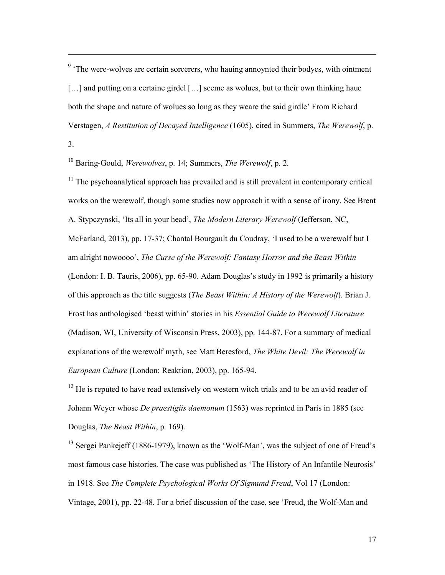<sup>9</sup> 'The were-wolves are certain sorcerers, who hauing annoynted their bodyes, with ointment [...] and putting on a certaine girdel [...] seeme as wolues, but to their own thinking haue both the shape and nature of wolues so long as they weare the said girdle' From Richard Verstagen, *A Restitution of Decayed Intelligence* (1605), cited in Summers, *The Werewolf*, p.

3.

 $\overline{a}$ 

10 Baring-Gould, *Werewolves*, p. 14; Summers, *The Werewolf*, p. 2.

 $11$  The psychoanalytical approach has prevailed and is still prevalent in contemporary critical works on the werewolf, though some studies now approach it with a sense of irony. See Brent A. Stypczynski, 'Its all in your head', *The Modern Literary Werewolf* (Jefferson, NC, McFarland, 2013), pp. 17-37; Chantal Bourgault du Coudray, 'I used to be a werewolf but I am alright nowoooo', *The Curse of the Werewolf: Fantasy Horror and the Beast Within* (London: I. B. Tauris, 2006), pp. 65-90. Adam Douglas's study in 1992 is primarily a history of this approach as the title suggests (*The Beast Within: A History of the Werewolf*). Brian J. Frost has anthologised 'beast within' stories in his *Essential Guide to Werewolf Literature* (Madison, WI, University of Wisconsin Press, 2003), pp. 144-87. For a summary of medical explanations of the werewolf myth, see Matt Beresford, *The White Devil: The Werewolf in European Culture* (London: Reaktion, 2003), pp. 165-94.

 $12$  He is reputed to have read extensively on western witch trials and to be an avid reader of Johann Weyer whose *De praestigiis daemonum* (1563) was reprinted in Paris in 1885 (see Douglas, *The Beast Within*, p. 169).

<sup>13</sup> Sergei Pankejeff (1886-1979), known as the 'Wolf-Man', was the subject of one of Freud's most famous case histories. The case was published as 'The History of An Infantile Neurosis' in 1918. See *The Complete Psychological Works Of Sigmund Freud*, Vol 17 (London: Vintage, 2001), pp. 22-48. For a brief discussion of the case, see 'Freud, the Wolf-Man and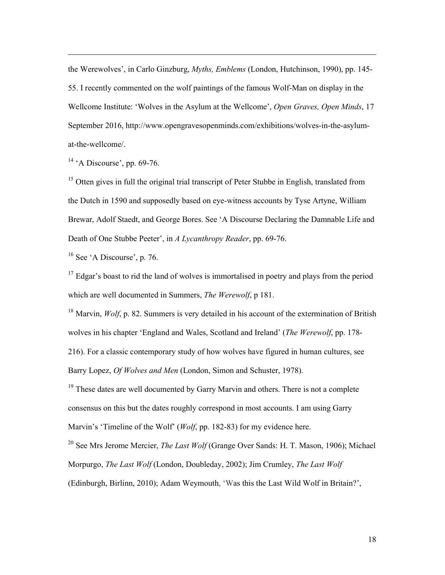the Werewolves', in Carlo Ginzburg, *Myths, Emblems* (London, Hutchinson, 1990), pp. 145- 55. I recently commented on the wolf paintings of the famous Wolf-Man on display in the Wellcome Institute: 'Wolves in the Asylum at the Wellcome', *Open Graves, Open Minds*, 17 September 2016, http://www.opengravesopenminds.com/exhibitions/wolves-in-the-asylumat-the-wellcome/.

 $14$  'A Discourse', pp. 69-76.

 $\overline{a}$ 

 $15$  Otten gives in full the original trial transcript of Peter Stubbe in English, translated from the Dutch in 1590 and supposedly based on eye-witness accounts by Tyse Artyne, William Brewar, Adolf Staedt, and George Bores. See 'A Discourse Declaring the Damnable Life and Death of One Stubbe Peeter', in *A Lycanthropy Reader*, pp. 69-76.

 $16$  See 'A Discourse', p. 76.

 $17$  Edgar's boast to rid the land of wolves is immortalised in poetry and plays from the period which are well documented in Summers, *The Werewolf*, p 181.

<sup>18</sup> Marvin, *Wolf*, p. 82. Summers is very detailed in his account of the extermination of British wolves in his chapter 'England and Wales, Scotland and Ireland' (*The Werewolf*, pp. 178-

216). For a classic contemporary study of how wolves have figured in human cultures, see Barry Lopez, *Of Wolves and Men* (London, Simon and Schuster, 1978).

 $19$  These dates are well documented by Garry Marvin and others. There is not a complete consensus on this but the dates roughly correspond in most accounts. I am using Garry Marvin's 'Timeline of the Wolf' (*Wolf*, pp. 182-83) for my evidence here.

<sup>20</sup> See Mrs Jerome Mercier, *The Last Wolf* (Grange Over Sands: H. T. Mason, 1906); Michael Morpurgo, *The Last Wolf* (London, Doubleday, 2002); Jim Crumley, *The Last Wolf*

(Edinburgh, Birlinn, 2010); Adam Weymouth, 'Was this the Last Wild Wolf in Britain?',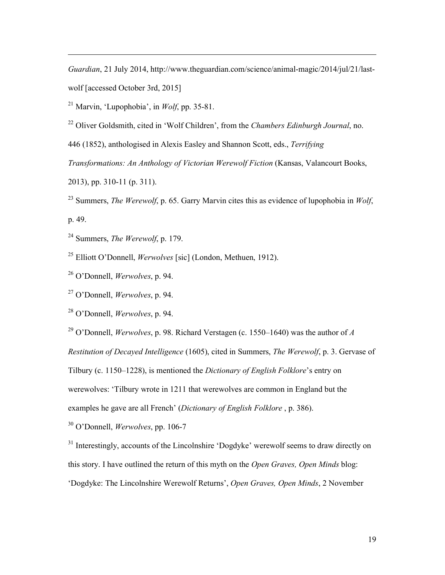*Guardian*, 21 July 2014, http://www.theguardian.com/science/animal-magic/2014/jul/21/lastwolf [accessed October 3rd, 2015]

21 Marvin, 'Lupophobia', in *Wolf*, pp. 35-81.

22 Oliver Goldsmith, cited in 'Wolf Children', from the *Chambers Edinburgh Journal*, no.

446 (1852), anthologised in Alexis Easley and Shannon Scott, eds., *Terrifying* 

*Transformations: An Anthology of Victorian Werewolf Fiction* (Kansas, Valancourt Books,

2013), pp. 310-11 (p. 311).

 $\overline{a}$ 

23 Summers, *The Werewolf*, p. 65. Garry Marvin cites this as evidence of lupophobia in *Wolf*, p. 49.

24 Summers, *The Werewolf*, p. 179.

25 Elliott O'Donnell, *Werwolves* [sic] (London, Methuen, 1912).

26 O'Donnell, *Werwolves*, p. 94.

27 O'Donnell, *Werwolves*, p. 94.

28 O'Donnell, *Werwolves*, p. 94.

29 O'Donnell, *Werwolves*, p. 98. Richard Verstagen (c. 1550–1640) was the author of *A Restitution of Decayed Intelligence* (1605), cited in Summers, *The Werewolf*, p. 3. Gervase of Tilbury (c. 1150–1228), is mentioned the *Dictionary of English Folklore*'s entry on werewolves: 'Tilbury wrote in 1211 that werewolves are common in England but the examples he gave are all French' (*Dictionary of English Folklore* , p. 386).

30 O'Donnell, *Werwolves*, pp. 106-7

<sup>31</sup> Interestingly, accounts of the Lincolnshire 'Dogdyke' werewolf seems to draw directly on this story. I have outlined the return of this myth on the *Open Graves, Open Minds* blog: 'Dogdyke: The Lincolnshire Werewolf Returns', *Open Graves, Open Minds*, 2 November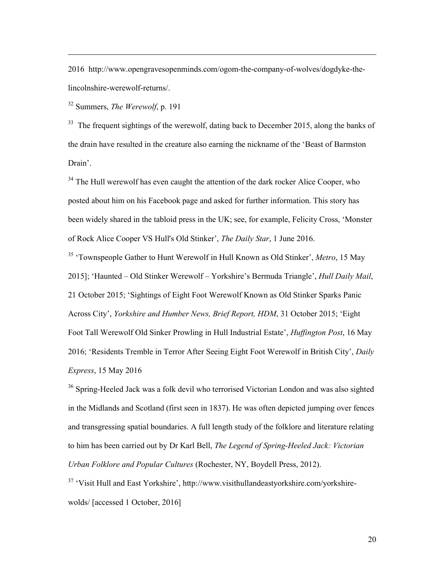2016 http://www.opengravesopenminds.com/ogom-the-company-of-wolves/dogdyke-thelincolnshire-werewolf-returns/.

32 Summers, *The Werewolf*, p. 191

 $\overline{a}$ 

 $33$  The frequent sightings of the werewolf, dating back to December 2015, along the banks of the drain have resulted in the creature also earning the nickname of the 'Beast of Barmston Drain'.

 $34$  The Hull werewolf has even caught the attention of the dark rocker Alice Cooper, who posted about him on his Facebook page and asked for further information. This story has been widely shared in the tabloid press in the UK; see, for example, Felicity Cross, 'Monster of Rock Alice Cooper VS Hull's Old Stinker', *The Daily Star*, 1 June 2016.

35 'Townspeople Gather to Hunt Werewolf in Hull Known as Old Stinker', *Metro*, 15 May 2015]; 'Haunted – Old Stinker Werewolf – Yorkshire's Bermuda Triangle', *Hull Daily Mail*, 21 October 2015; 'Sightings of Eight Foot Werewolf Known as Old Stinker Sparks Panic Across City', *Yorkshire and Humber News, Brief Report, HDM*, 31 October 2015; 'Eight Foot Tall Werewolf Old Sinker Prowling in Hull Industrial Estate', *Huffington Post*, 16 May 2016; 'Residents Tremble in Terror After Seeing Eight Foot Werewolf in British City', *Daily Express*, 15 May 2016

<sup>36</sup> Spring-Heeled Jack was a folk devil who terrorised Victorian London and was also sighted in the Midlands and Scotland (first seen in 1837). He was often depicted jumping over fences and transgressing spatial boundaries. A full length study of the folklore and literature relating to him has been carried out by Dr Karl Bell, *The Legend of Spring-Heeled Jack: Victorian Urban Folklore and Popular Cultures* (Rochester, NY, Boydell Press, 2012).

37 'Visit Hull and East Yorkshire', http://www.visithullandeastyorkshire.com/yorkshirewolds/ [accessed 1 October, 2016]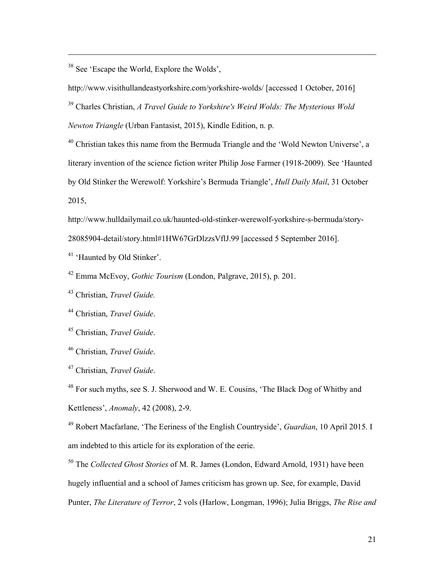38 See 'Escape the World, Explore the Wolds',

 $\overline{a}$ 

http://www.visithullandeastyorkshire.com/yorkshire-wolds/ [accessed 1 October, 2016]

39 Charles Christian, *A Travel Guide to Yorkshire's Weird Wolds: The Mysterious Wold Newton Triangle* (Urban Fantasist, 2015), Kindle Edition, n. p.

 $40$  Christian takes this name from the Bermuda Triangle and the 'Wold Newton Universe', a literary invention of the science fiction writer Philip Jose Farmer (1918-2009). See 'Haunted by Old Stinker the Werewolf: Yorkshire's Bermuda Triangle', *Hull Daily Mail*, 31 October 2015,

http://www.hulldailymail.co.uk/haunted-old-stinker-werewolf-yorkshire-s-bermuda/story-

28085904-detail/story.html#1HW67GrDlzzsVflJ.99 [accessed 5 September 2016].

<sup>41</sup> 'Haunted by Old Stinker'.

42 Emma McEvoy, *Gothic Tourism* (London, Palgrave, 2015), p. 201.

43 Christian, *Travel Guide.*

44 Christian, *Travel Guide*.

<sup>45</sup> Christian, *Travel Guide*.

46 Christian, *Travel Guide*.

47 Christian, *Travel Guide*.

48 For such myths, see S. J. Sherwood and W. E. Cousins, 'The Black Dog of Whitby and Kettleness', *Anomaly*, 42 (2008), 2-9.

49 Robert Macfarlane, 'The Eeriness of the English Countryside', *Guardian*, 10 April 2015. I am indebted to this article for its exploration of the eerie.

50 The *Collected Ghost Stories* of M. R. James (London, Edward Arnold, 1931) have been hugely influential and a school of James criticism has grown up. See, for example, David Punter, *The Literature of Terror*, 2 vols (Harlow, Longman, 1996); Julia Briggs, *The Rise and*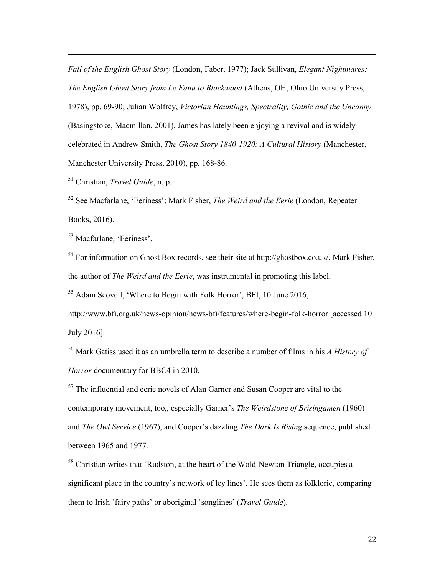*Fall of the English Ghost Story* (London, Faber, 1977); Jack Sullivan, *Elegant Nightmares: The English Ghost Story from Le Fanu to Blackwood* (Athens, OH, Ohio University Press, 1978), pp. 69-90; Julian Wolfrey, *Victorian Hauntings, Spectrality, Gothic and the Uncanny* (Basingstoke, Macmillan, 2001). James has lately been enjoying a revival and is widely celebrated in Andrew Smith, *The Ghost Story 1840-1920: A Cultural History* (Manchester, Manchester University Press, 2010), pp. 168-86.

51 Christian, *Travel Guide*, n. p.

 $\overline{a}$ 

52 See Macfarlane, 'Eeriness'; Mark Fisher, *The Weird and the Eerie* (London, Repeater Books, 2016).

53 Macfarlane, 'Eeriness'.

54 For information on Ghost Box records, see their site at http://ghostbox.co.uk/. Mark Fisher, the author of *The Weird and the Eerie*, was instrumental in promoting this label.

55 Adam Scovell, 'Where to Begin with Folk Horror', BFI, 10 June 2016,

http://www.bfi.org.uk/news-opinion/news-bfi/features/where-begin-folk-horror [accessed 10 July 2016].

<sup>56</sup> Mark Gatiss used it as an umbrella term to describe a number of films in his *A History of Horror* documentary for BBC4 in 2010.

 $57$  The influential and eerie novels of Alan Garner and Susan Cooper are vital to the contemporary movement, too,, especially Garner's *The Weirdstone of Brisingamen* (1960) and *The Owl Service* (1967), and Cooper's dazzling *The Dark Is Rising* sequence, published between 1965 and 1977.

<sup>58</sup> Christian writes that 'Rudston, at the heart of the Wold-Newton Triangle, occupies a significant place in the country's network of ley lines'. He sees them as folkloric, comparing them to Irish 'fairy paths' or aboriginal 'songlines' (*Travel Guide*).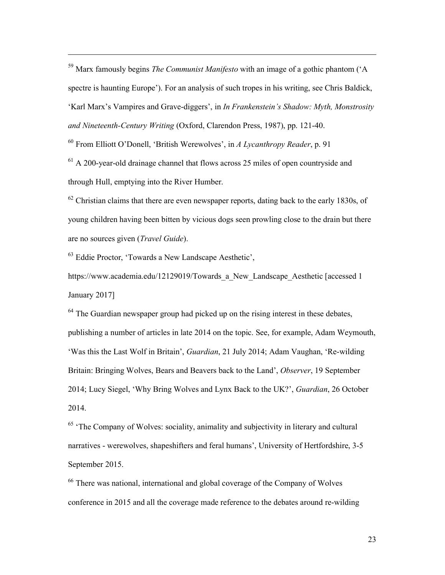59 Marx famously begins *The Communist Manifesto* with an image of a gothic phantom ('A spectre is haunting Europe'). For an analysis of such tropes in his writing, see Chris Baldick, 'Karl Marx's Vampires and Grave-diggers', in *In Frankenstein's Shadow: Myth, Monstrosity and Nineteenth-Century Writing* (Oxford, Clarendon Press, 1987), pp. 121-40.

<sup>60</sup> From Elliott O'Donell, 'British Werewolves', in *A Lycanthropy Reader*, p. 91

 $61$  A 200-year-old drainage channel that flows across 25 miles of open countryside and through Hull, emptying into the River Humber.

 $62$  Christian claims that there are even newspaper reports, dating back to the early 1830s, of young children having been bitten by vicious dogs seen prowling close to the drain but there are no sources given (*Travel Guide*).

63 Eddie Proctor, 'Towards a New Landscape Aesthetic',

 $\overline{a}$ 

https://www.academia.edu/12129019/Towards a New Landscape Aesthetic [accessed 1 January 2017]

 $64$  The Guardian newspaper group had picked up on the rising interest in these debates, publishing a number of articles in late 2014 on the topic. See, for example, Adam Weymouth, 'Was this the Last Wolf in Britain', *Guardian*, 21 July 2014; Adam Vaughan, 'Re-wilding Britain: Bringing Wolves, Bears and Beavers back to the Land', *Observer*, 19 September 2014; Lucy Siegel, 'Why Bring Wolves and Lynx Back to the UK?', *Guardian*, 26 October 2014.

 $65$  'The Company of Wolves: sociality, animality and subjectivity in literary and cultural narratives - werewolves, shapeshifters and feral humans', University of Hertfordshire, 3-5 September 2015.

<sup>66</sup> There was national, international and global coverage of the Company of Wolves conference in 2015 and all the coverage made reference to the debates around re-wilding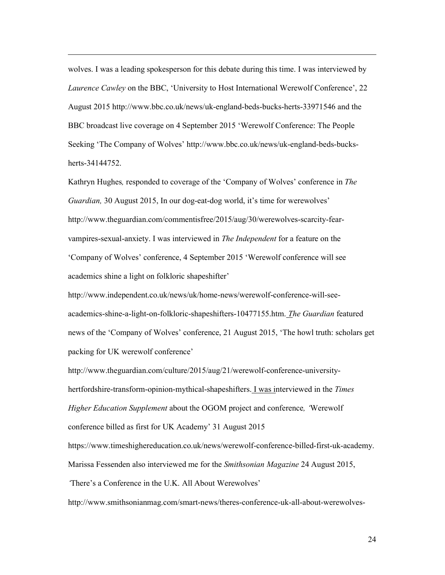wolves. I was a leading spokesperson for this debate during this time. I was interviewed by *Laurence Cawley* on the BBC, 'University to Host International Werewolf Conference', 22 August 2015 http://www.bbc.co.uk/news/uk-england-beds-bucks-herts-33971546 and the BBC broadcast live coverage on 4 September 2015 'Werewolf Conference: The People Seeking 'The Company of Wolves' http://www.bbc.co.uk/news/uk-england-beds-bucksherts-34144752.

 $\overline{a}$ 

Kathryn Hughes*,* responded to coverage of the 'Company of Wolves' conference in *The Guardian,* 30 August 2015, In our dog-eat-dog world, it's time for werewolves' http://www.theguardian.com/commentisfree/2015/aug/30/werewolves-scarcity-fearvampires-sexual-anxiety. I was interviewed in *The Independent* for a feature on the 'Company of Wolves' conference, 4 September 2015 'Werewolf conference will see academics shine a light on folkloric shapeshifter'

http://www.independent.co.uk/news/uk/home-news/werewolf-conference-will-seeacademics-shine-a-light-on-folkloric-shapeshifters-10477155.htm. *The Guardian* featured news of the 'Company of Wolves' conference, 21 August 2015, 'The howl truth: scholars get packing for UK werewolf conference'

http://www.theguardian.com/culture/2015/aug/21/werewolf-conference-universityhertfordshire-transform-opinion-mythical-shapeshifters. I was interviewed in the *Times Higher Education Supplement* about the OGOM project and conference*, '*Werewolf conference billed as first for UK Academy' 31 August 2015 https://www.timeshighereducation.co.uk/news/werewolf-conference-billed-first-uk-academy. Marissa Fessenden also interviewed me for the *Smithsonian Magazine* 24 August 2015,

*'*There's a Conference in the U.K. All About Werewolves'

http://www.smithsonianmag.com/smart-news/theres-conference-uk-all-about-werewolves-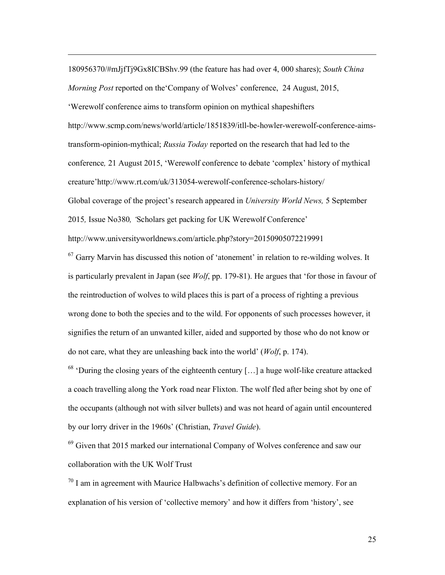180956370/#mJjfTj9Gx8ICBShv.99 (the feature has had over 4, 000 shares); *South China Morning Post* reported on the'Company of Wolves' conference, 24 August, 2015, 'Werewolf conference aims to transform opinion on mythical shapeshifters http://www.scmp.com/news/world/article/1851839/itll-be-howler-werewolf-conference-aimstransform-opinion-mythical; *Russia Today* reported on the research that had led to the conference*,* 21 August 2015, 'Werewolf conference to debate 'complex' history of mythical creature'http://www.rt.com/uk/313054-werewolf-conference-scholars-history/ Global coverage of the project's research appeared in *University World News,* 5 September 2015*,* Issue No380*, '*Scholars get packing for UK Werewolf Conference' http://www.universityworldnews.com/article.php?story=20150905072219991

 $\overline{a}$ 

 $67$  Garry Marvin has discussed this notion of 'atonement' in relation to re-wilding wolves. It is particularly prevalent in Japan (see *Wolf*, pp. 179-81). He argues that 'for those in favour of the reintroduction of wolves to wild places this is part of a process of righting a previous wrong done to both the species and to the wild. For opponents of such processes however, it signifies the return of an unwanted killer, aided and supported by those who do not know or do not care, what they are unleashing back into the world' (*Wolf*, p. 174).

 $68$  'During the closing years of the eighteenth century [...] a huge wolf-like creature attacked a coach travelling along the York road near Flixton. The wolf fled after being shot by one of the occupants (although not with silver bullets) and was not heard of again until encountered by our lorry driver in the 1960s' (Christian, *Travel Guide*).

 $69$  Given that 2015 marked our international Company of Wolves conference and saw our collaboration with the UK Wolf Trust

 $70$  I am in agreement with Maurice Halbwachs's definition of collective memory. For an explanation of his version of 'collective memory' and how it differs from 'history', see